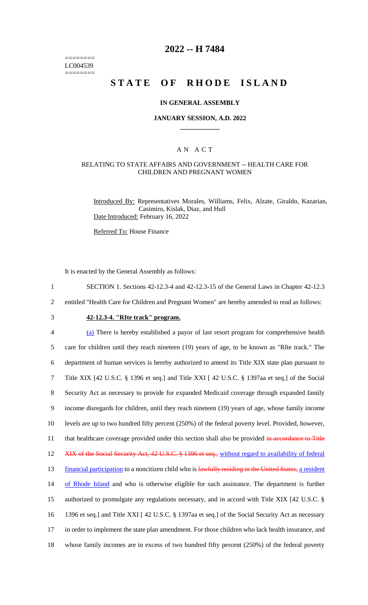======== LC004539 ========

## **2022 -- H 7484**

# **STATE OF RHODE ISLAND**

#### **IN GENERAL ASSEMBLY**

#### **JANUARY SESSION, A.D. 2022 \_\_\_\_\_\_\_\_\_\_\_\_**

#### A N A C T

#### RELATING TO STATE AFFAIRS AND GOVERNMENT -- HEALTH CARE FOR CHILDREN AND PREGNANT WOMEN

Introduced By: Representatives Morales, Williams, Felix, Alzate, Giraldo, Kazarian, Casimiro, Kislak, Diaz, and Hull Date Introduced: February 16, 2022

Referred To: House Finance

It is enacted by the General Assembly as follows:

- 1 SECTION 1. Sections 42-12.3-4 and 42-12.3-15 of the General Laws in Chapter 42-12.3
- 2 entitled "Health Care for Children and Pregnant Women" are hereby amended to read as follows:
- 

# 3 **42-12.3-4. "RIte track" program.**

 (a) There is hereby established a payor of last resort program for comprehensive health care for children until they reach nineteen (19) years of age, to be known as "RIte track." The department of human services is hereby authorized to amend its Title XIX state plan pursuant to Title XIX [42 U.S.C. § 1396 et seq.] and Title XXI [ 42 U.S.C. § 1397aa et seq.] of the Social Security Act as necessary to provide for expanded Medicaid coverage through expanded family income disregards for children, until they reach nineteen (19) years of age, whose family income levels are up to two hundred fifty percent (250%) of the federal poverty level. Provided, however, 11 that healthcare coverage provided under this section shall also be provided in accordance to Title 12 XIX of the Social Security Act, 42 U.S.C. § 1396 et seq., without regard to availability of federal 13 financial participation to a noncitizen child who is lawfully residing in the United States, a resident 14 of Rhode Island and who is otherwise eligible for such assistance. The department is further authorized to promulgate any regulations necessary, and in accord with Title XIX [42 U.S.C. § 1396 et seq.] and Title XXI [ 42 U.S.C. § 1397aa et seq.] of the Social Security Act as necessary in order to implement the state plan amendment. For those children who lack health insurance, and whose family incomes are in excess of two hundred fifty percent (250%) of the federal poverty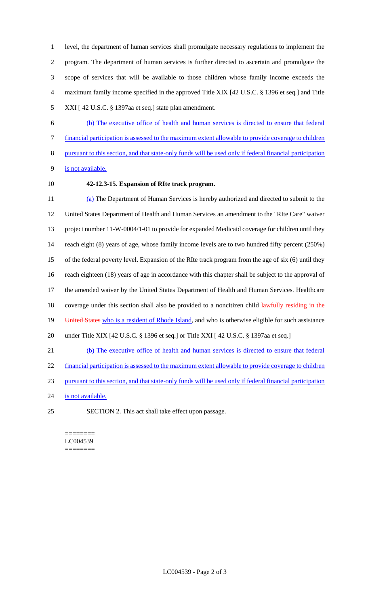level, the department of human services shall promulgate necessary regulations to implement the program. The department of human services is further directed to ascertain and promulgate the scope of services that will be available to those children whose family income exceeds the maximum family income specified in the approved Title XIX [42 U.S.C. § 1396 et seq.] and Title XXI [ 42 U.S.C. § 1397aa et seq.] state plan amendment.

- (b) The executive office of health and human services is directed to ensure that federal financial participation is assessed to the maximum extent allowable to provide coverage to children pursuant to this section, and that state-only funds will be used only if federal financial participation is not available.
- 

# **42-12.3-15. Expansion of RIte track program.**

 (a) The Department of Human Services is hereby authorized and directed to submit to the United States Department of Health and Human Services an amendment to the "RIte Care" waiver project number 11-W-0004/1-01 to provide for expanded Medicaid coverage for children until they reach eight (8) years of age, whose family income levels are to two hundred fifty percent (250%) of the federal poverty level. Expansion of the RIte track program from the age of six (6) until they reach eighteen (18) years of age in accordance with this chapter shall be subject to the approval of the amended waiver by the United States Department of Health and Human Services. Healthcare 18 coverage under this section shall also be provided to a noncitizen child lawfully residing in the 19 United States who is a resident of Rhode Island, and who is otherwise eligible for such assistance under Title XIX [42 U.S.C. § 1396 et seq.] or Title XXI [ 42 U.S.C. § 1397aa et seq.] (b) The executive office of health and human services is directed to ensure that federal financial participation is assessed to the maximum extent allowable to provide coverage to children pursuant to this section, and that state-only funds will be used only if federal financial participation

- 24 is not available.
- SECTION 2. This act shall take effect upon passage.

======== LC004539 ========